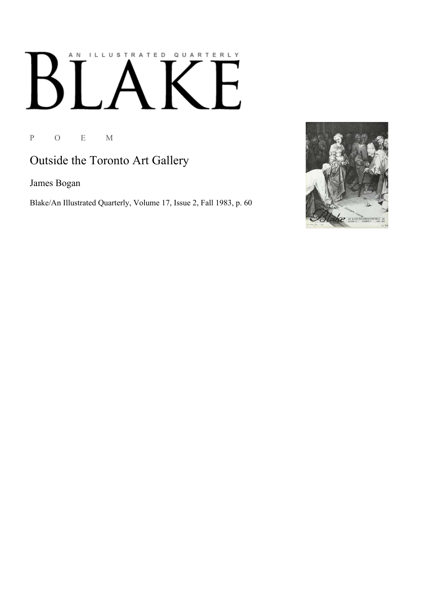## ILLUSTRATED QUARTERLY A N K

P O E M

## Outside the Toronto Art Gallery

James Bogan

Blake/An Illustrated Quarterly, Volume 17, Issue 2, Fall 1983, p. 60